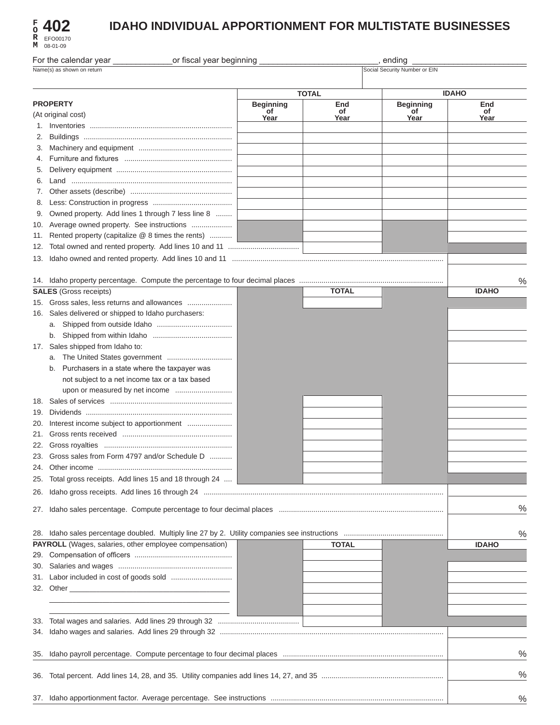| F | 402      |
|---|----------|
| R | EFO00170 |
| М | 08-01-09 |

# **IDAHO INDIVIDUAL APPORTIONMENT FOR MULTISTATE BUSINESSES**

| or fiscal year beginning<br>For the calendar year<br>ending<br>Social Security Number or EIN<br>Name(s) as shown on return |                                                        |                        |              |                        |              |      |
|----------------------------------------------------------------------------------------------------------------------------|--------------------------------------------------------|------------------------|--------------|------------------------|--------------|------|
|                                                                                                                            |                                                        |                        |              |                        |              |      |
|                                                                                                                            |                                                        |                        | <b>TOTAL</b> |                        | <b>IDAHO</b> |      |
|                                                                                                                            | <b>PROPERTY</b>                                        | <b>Beginning</b><br>of | End<br>of    | <b>Beginning</b><br>of | End<br>of    |      |
|                                                                                                                            | (At original cost)                                     | Year                   | Year         | Year                   | Year         |      |
|                                                                                                                            |                                                        |                        |              |                        |              |      |
| 2.                                                                                                                         |                                                        |                        |              |                        |              |      |
| 3.                                                                                                                         |                                                        |                        |              |                        |              |      |
| 5.                                                                                                                         |                                                        |                        |              |                        |              |      |
| 6.                                                                                                                         |                                                        |                        |              |                        |              |      |
| 7.                                                                                                                         |                                                        |                        |              |                        |              |      |
| 8.                                                                                                                         |                                                        |                        |              |                        |              |      |
| 9.                                                                                                                         | Owned property. Add lines 1 through 7 less line 8      |                        |              |                        |              |      |
| 10.                                                                                                                        | Average owned property. See instructions               |                        |              |                        |              |      |
| 11.                                                                                                                        | Rented property (capitalize @ 8 times the rents)       |                        |              |                        |              |      |
| 12.                                                                                                                        |                                                        |                        |              |                        |              |      |
| 13.                                                                                                                        |                                                        |                        |              |                        |              |      |
|                                                                                                                            |                                                        |                        |              |                        |              |      |
|                                                                                                                            |                                                        |                        |              |                        |              | $\%$ |
|                                                                                                                            | <b>SALES</b> (Gross receipts)                          |                        | <b>TOTAL</b> |                        | <b>IDAHO</b> |      |
|                                                                                                                            | 15. Gross sales, less returns and allowances           |                        |              |                        |              |      |
| 16.                                                                                                                        | Sales delivered or shipped to Idaho purchasers:        |                        |              |                        |              |      |
|                                                                                                                            |                                                        |                        |              |                        |              |      |
|                                                                                                                            |                                                        |                        |              |                        |              |      |
|                                                                                                                            | 17. Sales shipped from Idaho to:                       |                        |              |                        |              |      |
|                                                                                                                            |                                                        |                        |              |                        |              |      |
|                                                                                                                            | Purchasers in a state where the taxpayer was<br>b.     |                        |              |                        |              |      |
|                                                                                                                            | not subject to a net income tax or a tax based         |                        |              |                        |              |      |
|                                                                                                                            |                                                        |                        |              |                        |              |      |
| 18.                                                                                                                        |                                                        |                        |              |                        |              |      |
| 19.                                                                                                                        |                                                        |                        |              |                        |              |      |
| 20.                                                                                                                        |                                                        |                        |              |                        |              |      |
| 21.                                                                                                                        |                                                        |                        |              |                        |              |      |
| 22.                                                                                                                        |                                                        |                        |              |                        |              |      |
|                                                                                                                            | 23. Gross sales from Form 4797 and/or Schedule D       |                        |              |                        |              |      |
| 24.                                                                                                                        |                                                        |                        |              |                        |              |      |
| 25.                                                                                                                        | Total gross receipts. Add lines 15 and 18 through 24   |                        |              |                        |              |      |
| 26.                                                                                                                        |                                                        |                        |              |                        |              |      |
|                                                                                                                            |                                                        |                        |              |                        |              |      |
| 27.                                                                                                                        |                                                        |                        |              |                        |              | $\%$ |
|                                                                                                                            |                                                        |                        |              |                        |              |      |
| 28.                                                                                                                        |                                                        |                        |              |                        |              | $\%$ |
|                                                                                                                            | PAYROLL (Wages, salaries, other employee compensation) |                        | <b>TOTAL</b> |                        | <b>IDAHO</b> |      |
| 29.                                                                                                                        |                                                        |                        |              |                        |              |      |
| 30.                                                                                                                        |                                                        |                        |              |                        |              |      |
| 31.                                                                                                                        |                                                        |                        |              |                        |              |      |
|                                                                                                                            |                                                        |                        |              |                        |              |      |
|                                                                                                                            |                                                        |                        |              |                        |              |      |
|                                                                                                                            |                                                        |                        |              |                        |              |      |
| 33.                                                                                                                        |                                                        |                        |              |                        |              |      |
| 34.                                                                                                                        |                                                        |                        |              |                        |              |      |
| 35.                                                                                                                        |                                                        |                        |              |                        |              | %    |
|                                                                                                                            |                                                        |                        |              |                        |              |      |
| 36.                                                                                                                        |                                                        |                        |              |                        |              | $\%$ |
|                                                                                                                            |                                                        |                        |              |                        |              |      |
|                                                                                                                            |                                                        |                        |              |                        |              | $\%$ |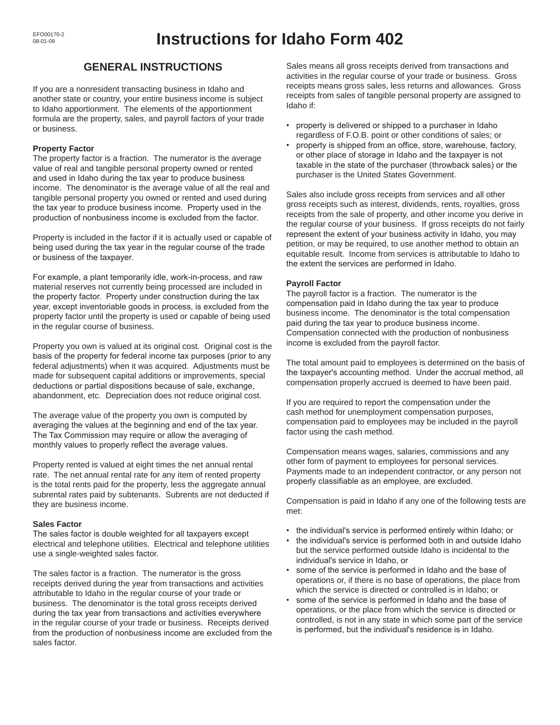## **GENERAL INSTRUCTIONS**

If you are a nonresident transacting business in Idaho and another state or country, your entire business income is subject to Idaho apportionment. The elements of the apportionment formula are the property, sales, and payroll factors of your trade or business.

## **Property Factor**

The property factor is a fraction. The numerator is the average value of real and tangible personal property owned or rented and used in Idaho during the tax year to produce business income. The denominator is the average value of all the real and tangible personal property you owned or rented and used during the tax year to produce business income. Property used in the production of nonbusiness income is excluded from the factor.

Property is included in the factor if it is actually used or capable of being used during the tax year in the regular course of the trade or business of the taxpayer. 

For example, a plant temporarily idle, work-in-process, and raw material reserves not currently being processed are included in the property factor. Property under construction during the tax year, except inventoriable goods in process, is excluded from the property factor until the property is used or capable of being used in the regular course of business.

Property you own is valued at its original cost. Original cost is the basis of the property for federal income tax purposes (prior to any federal adjustments) when it was acquired. Adjustments must be made for subsequent capital additions or improvements, special deductions or partial dispositions because of sale, exchange, abandonment, etc. Depreciation does not reduce original cost.

The average value of the property you own is computed by averaging the values at the beginning and end of the tax year. The Tax Commission may require or allow the averaging of monthly values to properly reflect the average values.

Property rented is valued at eight times the net annual rental rate. The net annual rental rate for any item of rented property is the total rents paid for the property, less the aggregate annual subrental rates paid by subtenants. Subrents are not deducted if they are business income.

## **Sales Factor**

The sales factor is double weighted for all taxpayers except electrical and telephone utilities. Electrical and telephone utilities use a single-weighted sales factor.

The sales factor is a fraction. The numerator is the gross receipts derived during the year from transactions and activities attributable to Idaho in the regular course of your trade or business. The denominator is the total gross receipts derived during the tax year from transactions and activities everywhere in the regular course of your trade or business. Receipts derived from the production of nonbusiness income are excluded from the sales factor.

Sales means all gross receipts derived from transactions and activities in the regular course of your trade or business. Gross receipts means gross sales, less returns and allowances. Gross receipts from sales of tangible personal property are assigned to Idaho if:

- property is delivered or shipped to a purchaser in Idaho regardless of F.O.B. point or other conditions of sales; or
- property is shipped from an office, store, warehouse, factory, or other place of storage in Idaho and the taxpayer is not taxable in the state of the purchaser (throwback sales) or the purchaser is the United States Government.

Sales also include gross receipts from services and all other gross receipts such as interest, dividends, rents, royalties, gross receipts from the sale of property, and other income you derive in the regular course of your business. If gross receipts do not fairly represent the extent of your business activity in Idaho, you may petition, or may be required, to use another method to obtain an equitable result. Income from services is attributable to Idaho to the extent the services are performed in Idaho.

## **Payroll Factor**

The payroll factor is a fraction. The numerator is the compensation paid in Idaho during the tax year to produce business income. The denominator is the total compensation paid during the tax year to produce business income. Compensation connected with the production of nonbusiness income is excluded from the payroll factor.

The total amount paid to employees is determined on the basis of the taxpayer's accounting method. Under the accrual method, all compensation properly accrued is deemed to have been paid.

If you are required to report the compensation under the cash method for unemployment compensation purposes, compensation paid to employees may be included in the payroll factor using the cash method.

Compensation means wages, salaries, commissions and any other form of payment to employees for personal services. Payments made to an independent contractor, or any person not properly classifiable as an employee, are excluded. 

Compensation is paid in Idaho if any one of the following tests are met:

- the individual's service is performed entirely within Idaho; or
- the individual's service is performed both in and outside Idaho but the service performed outside Idaho is incidental to the individual's service in Idaho, or
- some of the service is performed in Idaho and the base of operations or, if there is no base of operations, the place from which the service is directed or controlled is in Idaho; or
- some of the service is performed in Idaho and the base of operations, or the place from which the service is directed or controlled, is not in any state in which some part of the service is performed, but the individual's residence is in Idaho.